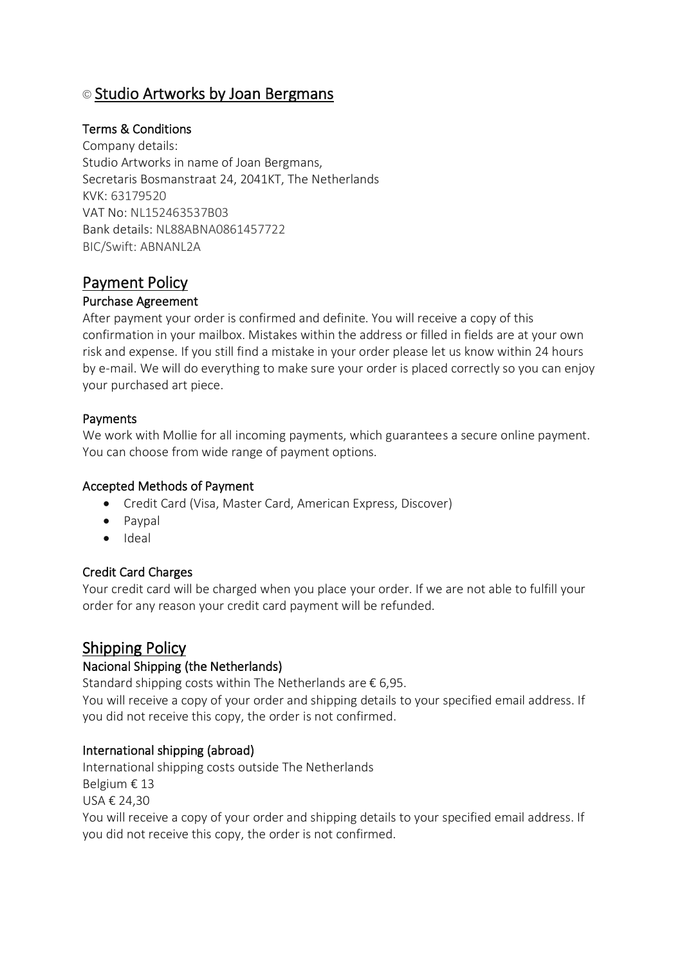# © Studio Artworks by Joan Bergmans

### Terms & Conditions

Company details: Studio Artworks in name of Joan Bergmans, Secretaris Bosmanstraat 24, 2041KT, The Netherlands KVK: 63179520 VAT No: NL152463537B03 Bank details: NL88ABNA0861457722 BIC/Swift: ABNANL2A

## Payment Policy

#### Purchase Agreement

After payment your order is confirmed and definite. You will receive a copy of this confirmation in your mailbox. Mistakes within the address or filled in fields are at your own risk and expense. If you still find a mistake in your order please let us know within 24 hours by e-mail. We will do everything to make sure your order is placed correctly so you can enjoy your purchased art piece.

#### Payments

We work with Mollie for all incoming payments, which guarantees a secure online payment. You can choose from wide range of payment options.

#### Accepted Methods of Payment

- Credit Card (Visa, Master Card, American Express, Discover)
- Paypal
- Ideal

#### Credit Card Charges

Your credit card will be charged when you place your order. If we are not able to fulfill your order for any reason your credit card payment will be refunded.

### Shipping Policy

#### Nacional Shipping (the Netherlands)

Standard shipping costs within The Netherlands are  $\epsilon$  6,95.

You will receive a copy of your order and shipping details to your specified email address. If you did not receive this copy, the order is not confirmed.

#### International shipping (abroad)

International shipping costs outside The Netherlands Belgium € 13 USA € 24,30 You will receive a copy of your order and shipping details to your specified email address. If you did not receive this copy, the order is not confirmed.